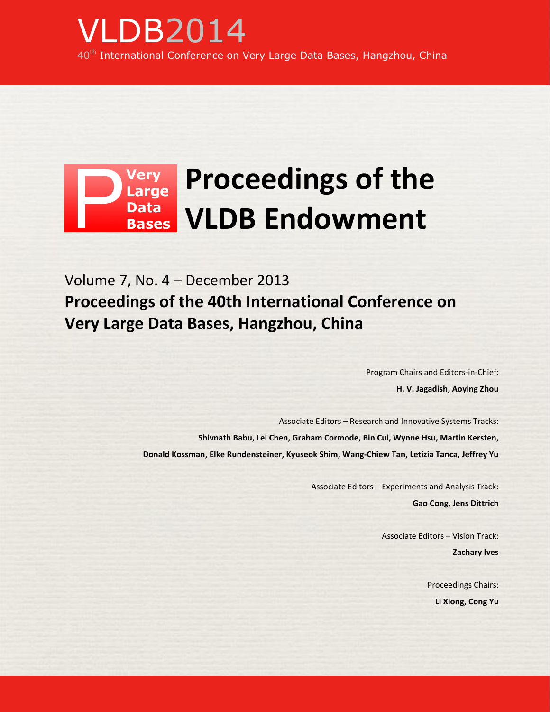## Very<br>Large **Proceedings of the**  Data<br>Bases **VLDB Endowment**

Volume 7, No. 4 – December 2013 **Proceedings of the 40th International Conference on Very Large Data Bases, Hangzhou, China**

> Program Chairs and Editors-in-Chief: **H. V. Jagadish, Aoying Zhou**

Associate Editors – Research and Innovative Systems Tracks: **Shivnath Babu, Lei Chen, Graham Cormode, Bin Cui, Wynne Hsu, Martin Kersten, Donald Kossman, Elke Rundensteiner, Kyuseok Shim, Wang-Chiew Tan, Letizia Tanca, Jeffrey Yu**

> Associate Editors – Experiments and Analysis Track: **Gao Cong, Jens Dittrich**

> > Associate Editors – Vision Track: **Zachary Ives**

> > > Proceedings Chairs: **Li Xiong, Cong Yu**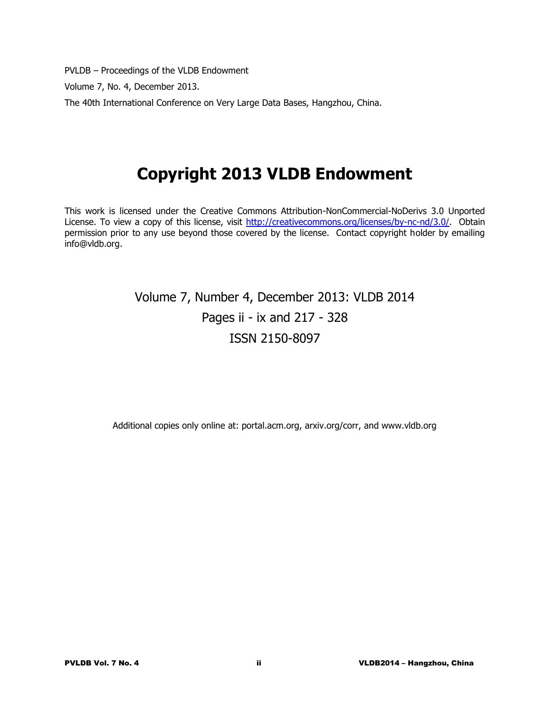PVLDB – Proceedings of the VLDB Endowment

Volume 7, No. 4, December 2013.

The 40th International Conference on Very Large Data Bases, Hangzhou, China.

# **Copyright 2013 VLDB Endowment**

This work is licensed under the Creative Commons Attribution-NonCommercial-NoDerivs 3.0 Unported License. To view a copy of this license, visit [http://creativecommons.org/licenses/by-nc-nd/3.0/.](http://creativecommons.org/licenses/by-nc-nd/3.0/) Obtain permission prior to any use beyond those covered by the license. Contact copyright holder by emailing info@vldb.org.

## Volume 7, Number 4, December 2013: VLDB 2014 Pages ii - ix and 217 - 328 ISSN 2150-8097

Additional copies only online at: portal.acm.org, arxiv.org/corr, and www.vldb.org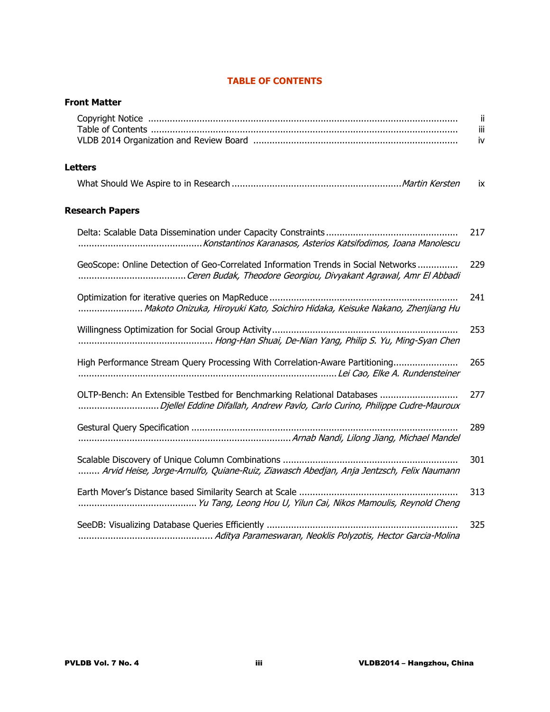### **TABLE OF CONTENTS**

| <b>Front Matter</b>                                                                                                                                    |                 |
|--------------------------------------------------------------------------------------------------------------------------------------------------------|-----------------|
|                                                                                                                                                        | ii<br>iii<br>iv |
| <b>Letters</b>                                                                                                                                         |                 |
|                                                                                                                                                        | ix              |
| <b>Research Papers</b>                                                                                                                                 |                 |
|                                                                                                                                                        | 217             |
| GeoScope: Online Detection of Geo-Correlated Information Trends in Social Networks                                                                     | 229             |
| Makoto Onizuka, Hiroyuki Kato, Soichiro Hidaka, Keisuke Nakano, Zhenjiang Hu                                                                           | 241             |
|                                                                                                                                                        | 253             |
| High Performance Stream Query Processing With Correlation-Aware Partitioning                                                                           | 265             |
| OLTP-Bench: An Extensible Testbed for Benchmarking Relational Databases<br>Djellel Eddine Difallah, Andrew Pavlo, Carlo Curino, Philippe Cudre-Mauroux | 277             |
|                                                                                                                                                        | 289             |
| Arvid Heise, Jorge-Arnulfo, Quiane-Ruiz, Ziawasch Abedjan, Anja Jentzsch, Felix Naumann                                                                | 301             |
|                                                                                                                                                        | 313             |
|                                                                                                                                                        | 325             |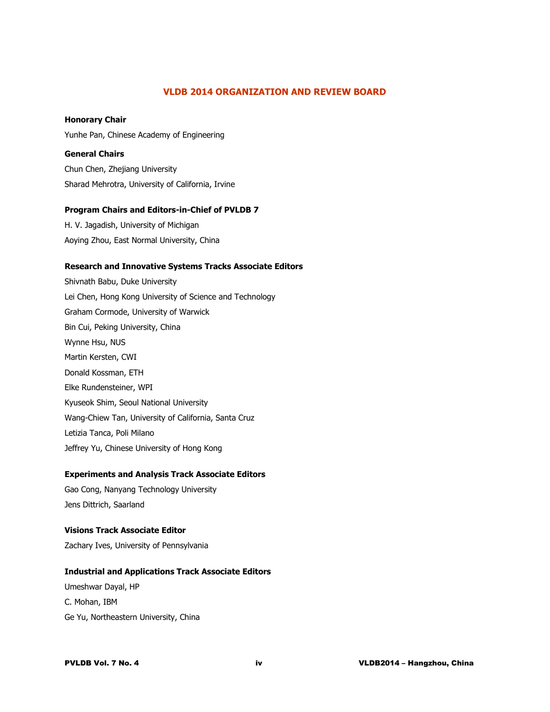#### **VLDB 2014 ORGANIZATION AND REVIEW BOARD**

#### **Honorary Chair**

Yunhe Pan, Chinese Academy of Engineering

#### **General Chairs**

Chun Chen, Zhejiang University Sharad Mehrotra, University of California, Irvine

#### **Program Chairs and Editors-in-Chief of PVLDB 7**

H. V. Jagadish, University of Michigan Aoying Zhou, East Normal University, China

#### **Research and Innovative Systems Tracks Associate Editors**

Shivnath Babu, Duke University Lei Chen, Hong Kong University of Science and Technology Graham Cormode, University of Warwick Bin Cui, Peking University, China Wynne Hsu, NUS Martin Kersten, CWI Donald Kossman, ETH Elke Rundensteiner, WPI Kyuseok Shim, Seoul National University Wang-Chiew Tan, University of California, Santa Cruz Letizia Tanca, Poli Milano Jeffrey Yu, Chinese University of Hong Kong

#### **Experiments and Analysis Track Associate Editors**

Gao Cong, Nanyang Technology University Jens Dittrich, Saarland

# **Visions Track Associate Editor**

Zachary Ives, University of Pennsylvania

#### **Industrial and Applications Track Associate Editors**

Umeshwar Dayal, HP C. Mohan, IBM Ge Yu, Northeastern University, China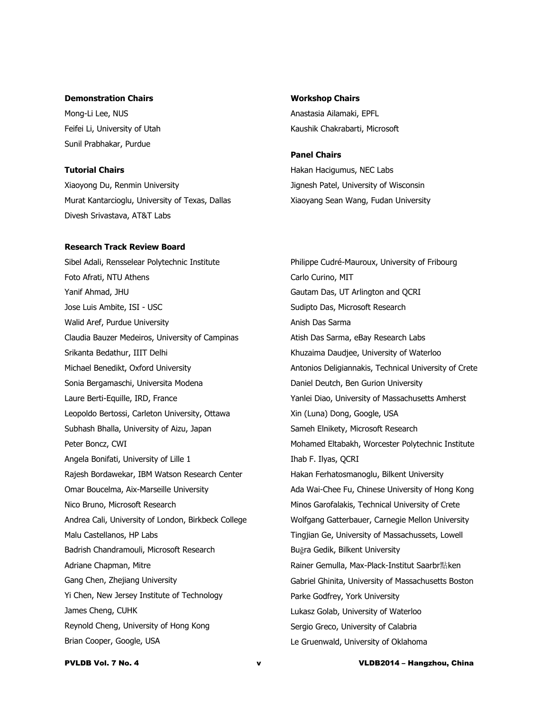#### **Demonstration Chairs**

Mong-Li Lee, NUS Feifei Li, University of Utah Sunil Prabhakar, Purdue

#### **Tutorial Chairs**

Xiaoyong Du, Renmin University Murat Kantarcioglu, University of Texas, Dallas Divesh Srivastava, AT&T Labs

#### **Research Track Review Board**

Sibel Adali, Rensselear Polytechnic Institute Foto Afrati, NTU Athens Yanif Ahmad, JHU Jose Luis Ambite, ISI - USC Walid Aref, Purdue University Claudia Bauzer Medeiros, University of Campinas Srikanta Bedathur, IIIT Delhi Michael Benedikt, Oxford University Sonia Bergamaschi, Universita Modena Laure Berti-Equille, IRD, France Leopoldo Bertossi, Carleton University, Ottawa Subhash Bhalla, University of Aizu, Japan Peter Boncz, CWI Angela Bonifati, University of Lille 1 Rajesh Bordawekar, IBM Watson Research Center Omar Boucelma, Aix-Marseille University Nico Bruno, Microsoft Research Andrea Cali, University of London, Birkbeck College Malu Castellanos, HP Labs Badrish Chandramouli, Microsoft Research Adriane Chapman, Mitre Gang Chen, Zhejiang University Yi Chen, New Jersey Institute of Technology James Cheng, CUHK Reynold Cheng, University of Hong Kong Brian Cooper, Google, USA

**Workshop Chairs** Anastasia Ailamaki, EPFL Kaushik Chakrabarti, Microsoft

#### **Panel Chairs**

Hakan Hacigumus, NEC Labs Jignesh Patel, University of Wisconsin Xiaoyang Sean Wang, Fudan University

Philippe Cudré-Mauroux, University of Fribourg Carlo Curino, MIT Gautam Das, UT Arlington and QCRI Sudipto Das, Microsoft Research Anish Das Sarma Atish Das Sarma, eBay Research Labs Khuzaima Daudjee, University of Waterloo Antonios Deligiannakis, Technical University of Crete Daniel Deutch, Ben Gurion University Yanlei Diao, University of Massachusetts Amherst Xin (Luna) Dong, Google, USA Sameh Elnikety, Microsoft Research Mohamed Eltabakh, Worcester Polytechnic Institute Ihab F. Ilyas, QCRI Hakan Ferhatosmanoglu, Bilkent University Ada Wai-Chee Fu, Chinese University of Hong Kong Minos Garofalakis, Technical University of Crete Wolfgang Gatterbauer, Carnegie Mellon University Tingjian Ge, University of Massachussets, Lowell Buğra Gedik, Bilkent University Rainer Gemulla, Max-Plack-Institut Saarbr點ken Gabriel Ghinita, University of Massachusetts Boston Parke Godfrey, York University Lukasz Golab, University of Waterloo Sergio Greco, University of Calabria Le Gruenwald, University of Oklahoma

PVLDB Vol. 7 No. 4 v VLDB2014 – Hangzhou, China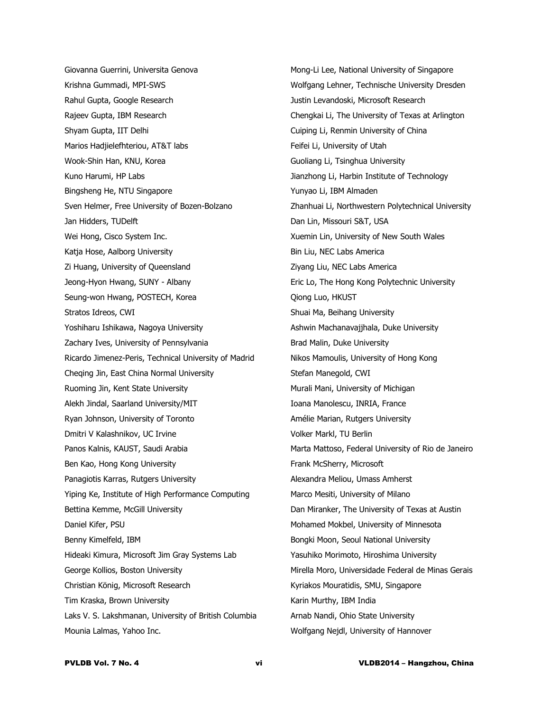Giovanna Guerrini, Universita Genova Krishna Gummadi, MPI-SWS Rahul Gupta, Google Research Rajeev Gupta, IBM Research Shyam Gupta, IIT Delhi Marios Hadjielefhteriou, AT&T labs Wook-Shin Han, KNU, Korea Kuno Harumi, HP Labs Bingsheng He, NTU Singapore Sven Helmer, Free University of Bozen-Bolzano Jan Hidders, TUDelft Wei Hong, Cisco System Inc. Katja Hose, Aalborg University Zi Huang, University of Queensland Jeong-Hyon Hwang, SUNY - Albany Seung-won Hwang, POSTECH, Korea Stratos Idreos, CWI Yoshiharu Ishikawa, Nagoya University Zachary Ives, University of Pennsylvania Ricardo Jimenez-Peris, Technical University of Madrid Cheqing Jin, East China Normal University Ruoming Jin, Kent State University Alekh Jindal, Saarland University/MIT Ryan Johnson, University of Toronto Dmitri V Kalashnikov, UC Irvine Panos Kalnis, KAUST, Saudi Arabia Ben Kao, Hong Kong University Panagiotis Karras, Rutgers University Yiping Ke, Institute of High Performance Computing Bettina Kemme, McGill University Daniel Kifer, PSU Benny Kimelfeld, IBM Hideaki Kimura, Microsoft Jim Gray Systems Lab George Kollios, Boston University Christian König, Microsoft Research Tim Kraska, Brown University Laks V. S. Lakshmanan, University of British Columbia Mounia Lalmas, Yahoo Inc.

Mong-Li Lee, National University of Singapore Wolfgang Lehner, Technische University Dresden Justin Levandoski, Microsoft Research Chengkai Li, The University of Texas at Arlington Cuiping Li, Renmin University of China Feifei Li, University of Utah Guoliang Li, Tsinghua University Jianzhong Li, Harbin Institute of Technology Yunyao Li, IBM Almaden Zhanhuai Li, Northwestern Polytechnical University Dan Lin, Missouri S&T, USA Xuemin Lin, University of New South Wales Bin Liu, NEC Labs America Ziyang Liu, NEC Labs America Eric Lo, The Hong Kong Polytechnic University Qiong Luo, HKUST Shuai Ma, Beihang University Ashwin Machanavajjhala, Duke University Brad Malin, Duke University Nikos Mamoulis, University of Hong Kong Stefan Manegold, CWI Murali Mani, University of Michigan Ioana Manolescu, INRIA, France Amélie Marian, Rutgers University Volker Markl, TU Berlin Marta Mattoso, Federal University of Rio de Janeiro Frank McSherry, Microsoft Alexandra Meliou, Umass Amherst Marco Mesiti, University of Milano Dan Miranker, The University of Texas at Austin Mohamed Mokbel, University of Minnesota Bongki Moon, Seoul National University Yasuhiko Morimoto, Hiroshima University Mirella Moro, Universidade Federal de Minas Gerais Kyriakos Mouratidis, SMU, Singapore Karin Murthy, IBM India Arnab Nandi, Ohio State University Wolfgang Nejdl, University of Hannover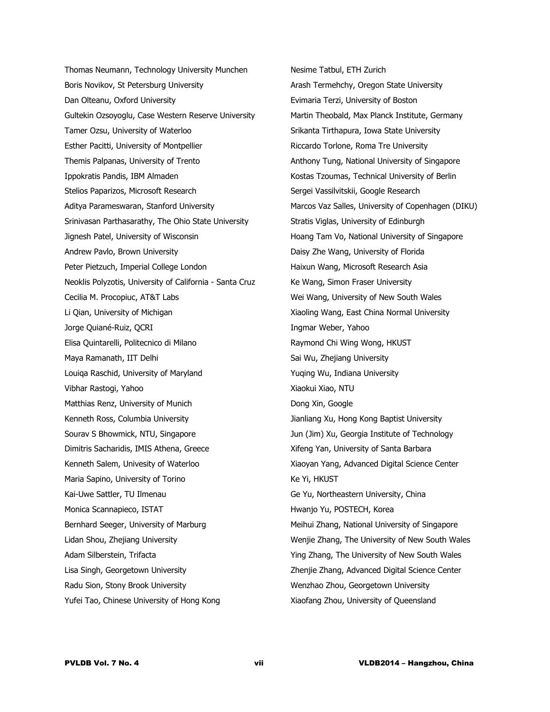Thomas Neumann, Technology University Munchen Boris Novikov, St Petersburg University Dan Olteanu, Oxford University Gultekin Ozsoyoglu, Case Western Reserve University Tamer Ozsu, University of Waterloo Esther Pacitti, University of Montpellier Themis Palpanas, University of Trento Ippokratis Pandis, IBM Almaden Stelios Paparizos, Microsoft Research Aditya Parameswaran, Stanford University Srinivasan Parthasarathy, The Ohio State University Jignesh Patel, University of Wisconsin Andrew Pavlo, Brown University Peter Pietzuch, Imperial College London Neoklis Polyzotis, University of California - Santa Cruz Cecilia M. Procopiuc, AT&T Labs Li Qian, University of Michigan Jorge Quiané-Ruiz, QCRI Elisa Quintarelli, Politecnico di Milano Maya Ramanath, IIT Delhi Louiqa Raschid, University of Maryland Vibhar Rastogi, Yahoo Matthias Renz, University of Munich Kenneth Ross, Columbia University Sourav S Bhowmick, NTU, Singapore Dimitris Sacharidis, IMIS Athena, Greece Kenneth Salem, Univesity of Waterloo Maria Sapino, University of Torino Kai-Uwe Sattler, TU Ilmenau Monica Scannapieco, ISTAT Bernhard Seeger, University of Marburg Lidan Shou, Zhejiang University Adam Silberstein, Trifacta Lisa Singh, Georgetown University Radu Sion, Stony Brook University Yufei Tao, Chinese University of Hong Kong

Nesime Tatbul, ETH Zurich Arash Termehchy, Oregon State University Evimaria Terzi, University of Boston Martin Theobald, Max Planck Institute, Germany Srikanta Tirthapura, Iowa State University Riccardo Torlone, Roma Tre University Anthony Tung, National University of Singapore Kostas Tzoumas, Technical University of Berlin Sergei Vassilvitskii, Google Research Marcos Vaz Salles, University of Copenhagen (DIKU) Stratis Viglas, University of Edinburgh Hoang Tam Vo, National University of Singapore Daisy Zhe Wang, University of Florida Haixun Wang, Microsoft Research Asia Ke Wang, Simon Fraser University Wei Wang, University of New South Wales Xiaoling Wang, East China Normal University Ingmar Weber, Yahoo Raymond Chi Wing Wong, HKUST Sai Wu, Zhejiang University Yuqing Wu, Indiana University Xiaokui Xiao, NTU Dong Xin, Google Jianliang Xu, Hong Kong Baptist University Jun (Jim) Xu, Georgia Institute of Technology Xifeng Yan, University of Santa Barbara Xiaoyan Yang, Advanced Digital Science Center Ke Yi, HKUST Ge Yu, Northeastern University, China Hwanjo Yu, POSTECH, Korea Meihui Zhang, National University of Singapore Wenjie Zhang, The University of New South Wales Ying Zhang, The University of New South Wales Zhenjie Zhang, Advanced Digital Science Center Wenzhao Zhou, Georgetown University Xiaofang Zhou, University of Queensland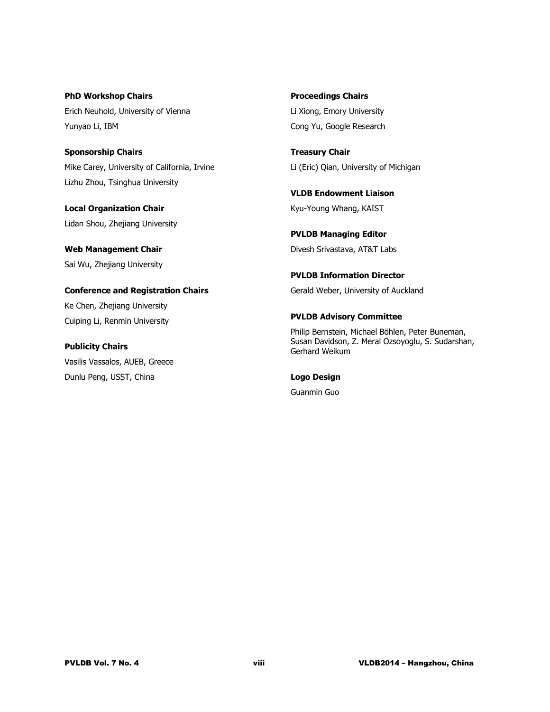**PhD Workshop Chairs** Erich Neuhold, University of Vienna Yunyao Li, IBM

**Sponsorship Chairs** Mike Carey, University of California, Irvine Lizhu Zhou, Tsinghua University

**Local Organization Chair** Lidan Shou, Zhejiang University

**Web Management Chair** Sai Wu, Zhejiang University

**Conference and Registration Chairs** Ke Chen, Zhejiang University Cuiping Li, Renmin University

**Publicity Chairs** Vasilis Vassalos, AUEB, Greece Dunlu Peng, USST, China

**Proceedings Chairs** Li Xiong, Emory University Cong Yu, Google Research

**Treasury Chair** Li (Eric) Qian, University of Michigan

**VLDB Endowment Liaison** Kyu-Young Whang, KAIST

**PVLDB Managing Editor** Divesh Srivastava, AT&T Labs

**PVLDB Information Director** Gerald Weber, University of Auckland

#### **PVLDB Advisory Committee**

Philip Bernstein, Michael Böhlen, Peter Buneman, Susan Davidson, Z. Meral Ozsoyoglu, S. Sudarshan, Gerhard Weikum

**Logo Design**

Guanmin Guo